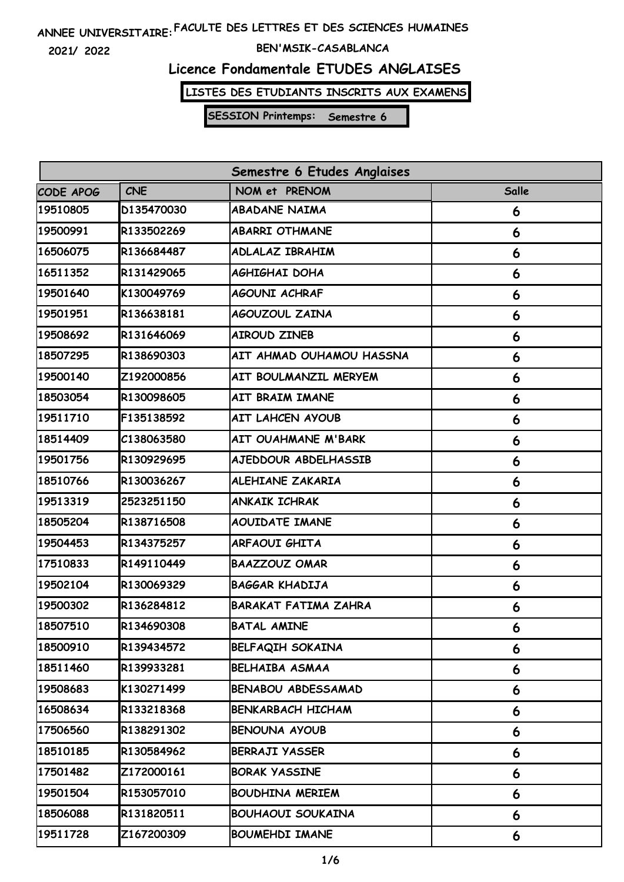**2021/ 2022**

#### **BEN'MSIK-CASABLANCA**

# **Licence Fondamentale ETUDES ANGLAISES**

**LISTES DES ETUDIANTS INSCRITS AUX EXAMENS**

| Semestre 6 Etudes Anglaises |            |                             |              |  |
|-----------------------------|------------|-----------------------------|--------------|--|
| CODE APOG                   | <b>CNE</b> | NOM et PRENOM               | <b>Salle</b> |  |
| 19510805                    | D135470030 | <b>ABADANE NAIMA</b>        | 6            |  |
| 19500991                    | R133502269 | <b>ABARRI OTHMANE</b>       | 6            |  |
| 16506075                    | R136684487 | <b>ADLALAZ IBRAHIM</b>      | 6            |  |
| 16511352                    | R131429065 | <b>AGHIGHAI DOHA</b>        | 6            |  |
| 19501640                    | K130049769 | AGOUNI ACHRAF               | 6            |  |
| 19501951                    | R136638181 | <b>AGOUZOUL ZAINA</b>       | 6            |  |
| 19508692                    | R131646069 | <b>AIROUD ZINEB</b>         | 6            |  |
| 18507295                    | R138690303 | AIT AHMAD OUHAMOU HASSNA    | 6            |  |
| 19500140                    | Z192000856 | AIT BOULMANZIL MERYEM       | 6            |  |
| 18503054                    | R130098605 | AIT BRAIM IMANE             | 6            |  |
| 19511710                    | F135138592 | <b>AIT LAHCEN AYOUB</b>     | 6            |  |
| 18514409                    | C138063580 | <b>AIT OUAHMANE M'BARK</b>  | 6            |  |
| 19501756                    | R130929695 | AJEDDOUR ABDELHASSIB        | 6            |  |
| 18510766                    | R130036267 | <b>ALEHIANE ZAKARIA</b>     | 6            |  |
| 19513319                    | 2523251150 | <b>ANKAIK ICHRAK</b>        | 6            |  |
| 18505204                    | R138716508 | <b>AOUIDATE IMANE</b>       | 6            |  |
| 19504453                    | R134375257 | <b>ARFAOUI GHITA</b>        | 6            |  |
| 17510833                    | R149110449 | <b>BAAZZOUZ OMAR</b>        | 6            |  |
| 19502104                    | R130069329 | <b>BAGGAR KHADIJA</b>       | 6            |  |
| 19500302                    | R136284812 | <b>BARAKAT FATIMA ZAHRA</b> | 6            |  |
| 18507510                    | R134690308 | <b>BATAL AMINE</b>          | 6            |  |
| 18500910                    | R139434572 | <b>BELFAQIH SOKAINA</b>     | 6            |  |
| 18511460                    | R139933281 | <b>BELHAIBA ASMAA</b>       | 6            |  |
| 19508683                    | K130271499 | <b>BENABOU ABDESSAMAD</b>   | 6            |  |
| 16508634                    | R133218368 | <b>BENKARBACH HICHAM</b>    | 6            |  |
| 17506560                    | R138291302 | <b>BENOUNA AYOUB</b>        | 6            |  |
| 18510185                    | R130584962 | <b>BERRAJI YASSER</b>       | 6            |  |
| 17501482                    | Z172000161 | <b>BORAK YASSINE</b>        | 6            |  |
| 19501504                    | R153057010 | <b>BOUDHINA MERIEM</b>      | 6            |  |
| 18506088                    | R131820511 | <b>BOUHAOUI SOUKAINA</b>    | 6            |  |
| 19511728                    | Z167200309 | <b>BOUMEHDI IMANE</b>       | 6            |  |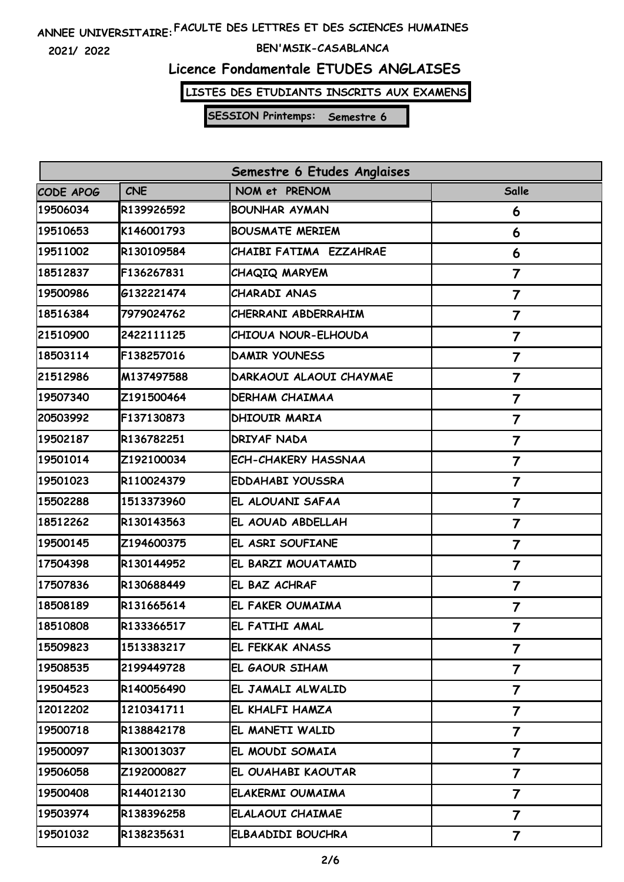**2021/ 2022**

#### **BEN'MSIK-CASABLANCA**

### **Licence Fondamentale ETUDES ANGLAISES**

**LISTES DES ETUDIANTS INSCRITS AUX EXAMENS**

| Semestre 6 Etudes Anglaises |            |                            |                         |  |
|-----------------------------|------------|----------------------------|-------------------------|--|
| CODE APOG                   | <b>CNE</b> | NOM et PRENOM              | <b>Salle</b>            |  |
| 19506034                    | R139926592 | <b>BOUNHAR AYMAN</b>       | 6                       |  |
| 19510653                    | K146001793 | <b>BOUSMATE MERIEM</b>     | 6                       |  |
| 19511002                    | R130109584 | CHAIBI FATIMA EZZAHRAE     | 6                       |  |
| 18512837                    | F136267831 | <b>CHAQIQ MARYEM</b>       | $\overline{7}$          |  |
| 19500986                    | G132221474 | CHARADI ANAS               | $\overline{\mathbf{7}}$ |  |
| 18516384                    | 7979024762 | CHERRANI ABDERRAHIM        | 7                       |  |
| 21510900                    | 2422111125 | CHIOUA NOUR-ELHOUDA        | 7                       |  |
| 18503114                    | F138257016 | <b>DAMIR YOUNESS</b>       | $\overline{7}$          |  |
| 21512986                    | M137497588 | DARKAOUI ALAOUI CHAYMAE    | 7                       |  |
| 19507340                    | Z191500464 | <b>DERHAM CHAIMAA</b>      | $\overline{7}$          |  |
| 20503992                    | F137130873 | <b>DHIOUIR MARIA</b>       | $\overline{\mathbf{7}}$ |  |
| 19502187                    | R136782251 | <b>DRIYAF NADA</b>         | $\overline{7}$          |  |
| 19501014                    | Z192100034 | <b>ECH-CHAKERY HASSNAA</b> | $\overline{7}$          |  |
| 19501023                    | R110024379 | <b>EDDAHABI YOUSSRA</b>    | 7                       |  |
| 15502288                    | 1513373960 | EL ALOUANI SAFAA           | 7                       |  |
| 18512262                    | R130143563 | EL AOUAD ABDELLAH          | $\overline{7}$          |  |
| 19500145                    | Z194600375 | EL ASRI SOUFIANE           | 7                       |  |
| 17504398                    | R130144952 | EL BARZI MOUATAMID         | $\overline{7}$          |  |
| 17507836                    | R130688449 | EL BAZ ACHRAF              | $\overline{7}$          |  |
| 18508189                    | R131665614 | EL FAKER OUMAIMA           | $\overline{7}$          |  |
| 18510808                    | R133366517 | EL FATIHI AMAL             | 7                       |  |
| 15509823                    | 1513383217 | IEL FEKKAK ANASS           | 7                       |  |
| 19508535                    | 2199449728 | EL GAOUR SIHAM             | 7                       |  |
| 19504523                    | R140056490 | EL JAMALI ALWALID          | $\overline{7}$          |  |
| 12012202                    | 1210341711 | EL KHALFI HAMZA            | 7                       |  |
| 19500718                    | R138842178 | EL MANETI WALID            | 7                       |  |
| 19500097                    | R130013037 | EL MOUDI SOMAIA            | $\overline{\mathbf{7}}$ |  |
| 19506058                    | Z192000827 | EL OUAHABI KAOUTAR         | 7                       |  |
| 19500408                    | R144012130 | ELAKERMI OUMAIMA           | $\overline{\mathbf{7}}$ |  |
| 19503974                    | R138396258 | ELALAOUI CHAIMAE           | 7                       |  |
| 19501032                    | R138235631 | ELBAADIDI BOUCHRA          | $\overline{\mathbf{7}}$ |  |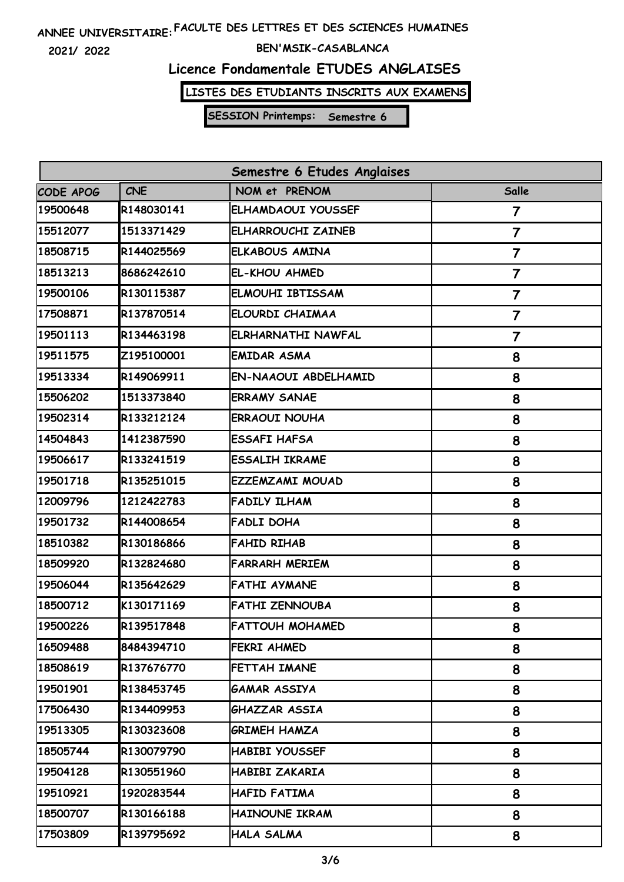**2021/ 2022**

#### **BEN'MSIK-CASABLANCA**

### **Licence Fondamentale ETUDES ANGLAISES**

**LISTES DES ETUDIANTS INSCRITS AUX EXAMENS**

| Semestre 6 Etudes Anglaises |            |                             |                |  |
|-----------------------------|------------|-----------------------------|----------------|--|
| CODE APOG                   | <b>CNE</b> | NOM et PRENOM               | Salle          |  |
| 19500648                    | R148030141 | ELHAMDAOUI YOUSSEF          | 7              |  |
| 15512077                    | 1513371429 | <b>ELHARROUCHI ZAINEB</b>   | $\overline{7}$ |  |
| 18508715                    | R144025569 | <b>ELKABOUS AMINA</b>       | $\overline{7}$ |  |
| 18513213                    | 8686242610 | EL-KHOU AHMED               | $\overline{7}$ |  |
| 19500106                    | R130115387 | <b>ELMOUHI IBTISSAM</b>     | $\overline{7}$ |  |
| 17508871                    | R137870514 | ELOURDI CHAIMAA             | 7              |  |
| 19501113                    | R134463198 | <b>ELRHARNATHI NAWFAL</b>   | $\overline{7}$ |  |
| 19511575                    | Z195100001 | <b>EMIDAR ASMA</b>          | 8              |  |
| 19513334                    | R149069911 | <b>EN-NAAOUI ABDELHAMID</b> | 8              |  |
| 15506202                    | 1513373840 | <b>ERRAMY SANAE</b>         | 8              |  |
| 19502314                    | R133212124 | <b>ERRAOUI NOUHA</b>        | 8              |  |
| 14504843                    | 1412387590 | <b>ESSAFI HAFSA</b>         | 8              |  |
| 19506617                    | R133241519 | <b>ESSALIH IKRAME</b>       | 8              |  |
| 19501718                    | R135251015 | EZZEMZAMI MOUAD             | 8              |  |
| 12009796                    | 1212422783 | <b>FADILY ILHAM</b>         | 8              |  |
| 19501732                    | R144008654 | <b>FADLI DOHA</b>           | 8              |  |
| 18510382                    | R130186866 | <b>FAHID RIHAB</b>          | 8              |  |
| 18509920                    | R132824680 | <b>FARRARH MERIEM</b>       | 8              |  |
| 19506044                    | R135642629 | <b>FATHI AYMANE</b>         | 8              |  |
| 18500712                    | K130171169 | <b>FATHI ZENNOUBA</b>       | 8              |  |
| 19500226                    | R139517848 | <b>FATTOUH MOHAMED</b>      | 8              |  |
| 16509488                    | 8484394710 | FEKRI AHMED                 | 8              |  |
| 18508619                    | R137676770 | FETTAH IMANE                | 8              |  |
| 19501901                    | R138453745 | GAMAR ASSIYA                | 8              |  |
| 17506430                    | R134409953 | GHAZZAR ASSIA               | 8              |  |
| 19513305                    | R130323608 | GRIMEH HAMZA                | 8              |  |
| 18505744                    | R130079790 | <b>HABIBI YOUSSEF</b>       | 8              |  |
| 19504128                    | R130551960 | HABIBI ZAKARIA              | 8              |  |
| 19510921                    | 1920283544 | HAFID FATIMA                | 8              |  |
| 18500707                    | R130166188 | HAINOUNE IKRAM              | 8              |  |
| 17503809                    | R139795692 | HALA SALMA                  | 8              |  |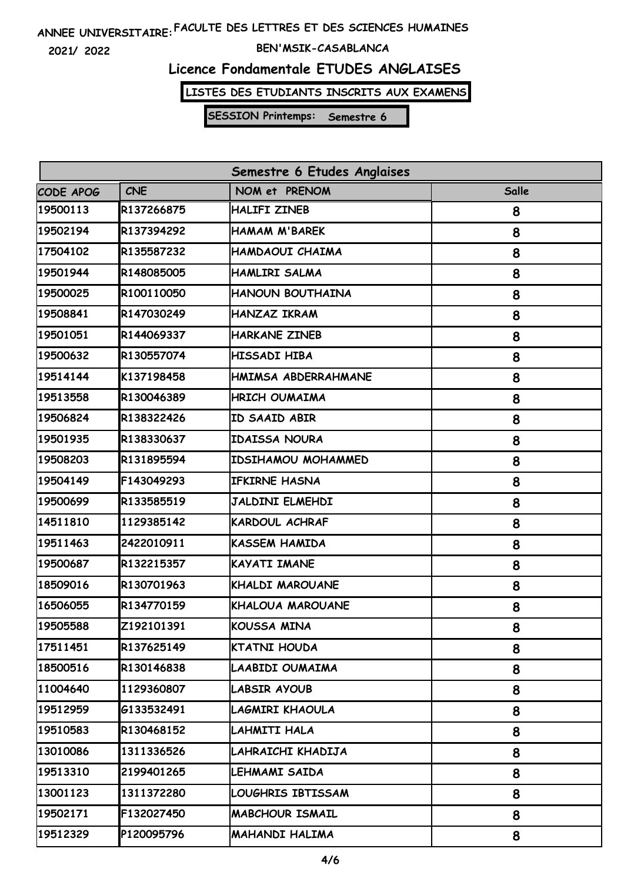**2021/ 2022**

#### **BEN'MSIK-CASABLANCA**

# **Licence Fondamentale ETUDES ANGLAISES**

**LISTES DES ETUDIANTS INSCRITS AUX EXAMENS**

| Semestre 6 Etudes Anglaises |            |                           |              |  |
|-----------------------------|------------|---------------------------|--------------|--|
| CODE APOG                   | <b>CNE</b> | NOM et PRENOM             | <b>Salle</b> |  |
| 19500113                    | R137266875 | <b>HALIFI ZINEB</b>       | 8            |  |
| 19502194                    | R137394292 | <b>HAMAM M'BAREK</b>      | 8            |  |
| 17504102                    | R135587232 | HAMDAOUI CHAIMA           | 8            |  |
| 19501944                    | R148085005 | <b>HAMLIRI SALMA</b>      | 8            |  |
| 19500025                    | R100110050 | HANOUN BOUTHAINA          | 8            |  |
| 19508841                    | R147030249 | <b>HANZAZ IKRAM</b>       | 8            |  |
| 19501051                    | R144069337 | <b>HARKANE ZINEB</b>      | 8            |  |
| 19500632                    | R130557074 | HISSADI HIBA              | 8            |  |
| 19514144                    | K137198458 | HMIMSA ABDERRAHMANE       | 8            |  |
| 19513558                    | R130046389 | HRICH OUMAIMA             | 8            |  |
| 19506824                    | R138322426 | ID SAAID ABIR             | 8            |  |
| 19501935                    | R138330637 | <b>IDAISSA NOURA</b>      | 8            |  |
| 19508203                    | R131895594 | <b>IDSIHAMOU MOHAMMED</b> | 8            |  |
| 19504149                    | F143049293 | <b>IFKIRNE HASNA</b>      | 8            |  |
| 19500699                    | R133585519 | <b>JALDINI ELMEHDI</b>    | 8            |  |
| 14511810                    | 1129385142 | <b>KARDOUL ACHRAF</b>     | 8            |  |
| 19511463                    | 2422010911 | <b>KASSEM HAMIDA</b>      | 8            |  |
| 19500687                    | R132215357 | <b>KAYATI IMANE</b>       | 8            |  |
| 18509016                    | R130701963 | KHALDI MAROUANE           | 8            |  |
| 16506055                    | R134770159 | KHALOUA MAROUANE          | 8            |  |
| 19505588                    | Z192101391 | <b>KOUSSA MINA</b>        | 8            |  |
| 17511451                    | R137625149 | KTATNI HOUDA              | 8            |  |
| 18500516                    | R130146838 | LAABIDI OUMAIMA           | 8            |  |
| 11004640                    | 1129360807 | LABSIR AYOUB              | 8            |  |
| 19512959                    | 6133532491 | LAGMIRI KHAOULA           | 8            |  |
| 19510583                    | R130468152 | LAHMITI HALA              | 8            |  |
| 13010086                    | 1311336526 | LAHRAICHI KHADIJA         | 8            |  |
| 19513310                    | 2199401265 | LEHMAMI SAIDA             | 8            |  |
| 13001123                    | 1311372280 | LOUGHRIS IBTISSAM         | 8            |  |
| 19502171                    | F132027450 | <b>MABCHOUR ISMAIL</b>    | 8            |  |
| 19512329                    | P120095796 | <b>MAHANDI HALIMA</b>     | 8            |  |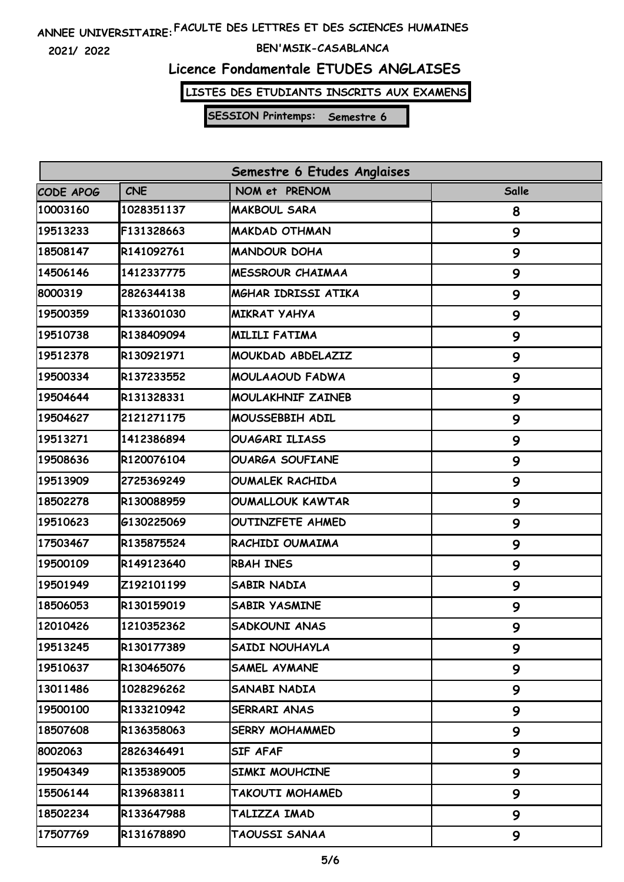**2021/ 2022**

#### **BEN'MSIK-CASABLANCA**

# **Licence Fondamentale ETUDES ANGLAISES**

**LISTES DES ETUDIANTS INSCRITS AUX EXAMENS**

| Semestre 6 Etudes Anglaises |            |                         |              |  |
|-----------------------------|------------|-------------------------|--------------|--|
| CODE APOG                   | <b>CNE</b> | NOM et PRENOM           | <b>Salle</b> |  |
| 10003160                    | 1028351137 | <b>MAKBOUL SARA</b>     | 8            |  |
| 19513233                    | F131328663 | <b>MAKDAD OTHMAN</b>    | 9            |  |
| 18508147                    | R141092761 | <b>MANDOUR DOHA</b>     | 9            |  |
| 14506146                    | 1412337775 | <b>MESSROUR CHAIMAA</b> | 9            |  |
| 8000319                     | 2826344138 | MGHAR IDRISSI ATIKA     | 9            |  |
| 19500359                    | R133601030 | <b>MIKRAT YAHYA</b>     | 9            |  |
| 19510738                    | R138409094 | <b>MILILI FATIMA</b>    | 9            |  |
| 19512378                    | R130921971 | MOUKDAD ABDELAZIZ       | 9            |  |
| 19500334                    | R137233552 | <b>MOULAAOUD FADWA</b>  | 9            |  |
| 19504644                    | R131328331 | MOULAKHNIF ZAINEB       | 9            |  |
| 19504627                    | 2121271175 | MOUSSEBBIH ADIL         | 9            |  |
| 19513271                    | 1412386894 | <b>OUAGARI ILIASS</b>   | 9            |  |
| 19508636                    | R120076104 | <b>OUARGA SOUFIANE</b>  | 9            |  |
| 19513909                    | 2725369249 | <b>OUMALEK RACHIDA</b>  | 9            |  |
| 18502278                    | R130088959 | <b>OUMALLOUK KAWTAR</b> | 9            |  |
| 19510623                    | G130225069 | OUTINZFETE AHMED        | 9            |  |
| 17503467                    | R135875524 | RACHIDI OUMAIMA         | 9            |  |
| 19500109                    | R149123640 | <b>RBAH INES</b>        | 9            |  |
| 19501949                    | Z192101199 | <b>SABIR NADIA</b>      | 9            |  |
| 18506053                    | R130159019 | <b>SABIR YASMINE</b>    | 9            |  |
| 12010426                    | 1210352362 | <b>SADKOUNI ANAS</b>    | 9            |  |
| 19513245                    | R130177389 | SAIDI NOUHAYLA          | 9            |  |
| 19510637                    | R130465076 | SAMEL AYMANE            | 9            |  |
| 13011486                    | 1028296262 | SANABI NADIA            | 9            |  |
| 19500100                    | R133210942 | SERRARI ANAS            | 9            |  |
| 18507608                    | R136358063 | <b>SERRY MOHAMMED</b>   | 9            |  |
| 8002063                     | 2826346491 | SIF AFAF                | 9            |  |
| 19504349                    | R135389005 | SIMKI MOUHCINE          | 9            |  |
| 15506144                    | R139683811 | TAKOUTI MOHAMED         | 9            |  |
| 18502234                    | R133647988 | TALIZZA IMAD            | 9            |  |
| 17507769                    | R131678890 | TAOUSSI SANAA           | 9            |  |